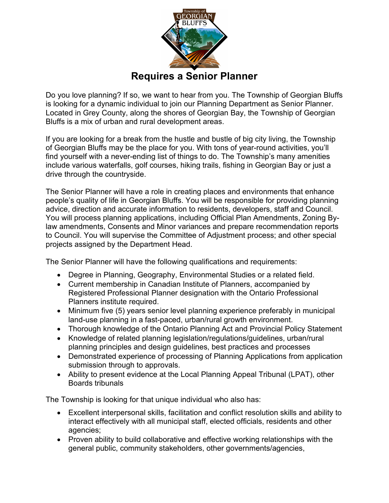

Do you love planning? If so, we want to hear from you. The Township of Georgian Bluffs is looking for a dynamic individual to join our Planning Department as Senior Planner. Located in Grey County, along the shores of Georgian Bay, the Township of Georgian Bluffs is a mix of urban and rural development areas.

If you are looking for a break from the hustle and bustle of big city living, the Township of Georgian Bluffs may be the place for you. With tons of year-round activities, you'll find yourself with a never-ending list of things to do. The Township's many amenities include various waterfalls, golf courses, hiking trails, fishing in Georgian Bay or just a drive through the countryside.

The Senior Planner will have a role in creating places and environments that enhance people's quality of life in Georgian Bluffs. You will be responsible for providing planning advice, direction and accurate information to residents, developers, staff and Council. You will process planning applications, including Official Plan Amendments, Zoning Bylaw amendments, Consents and Minor variances and prepare recommendation reports to Council. You will supervise the Committee of Adjustment process; and other special projects assigned by the Department Head.

The Senior Planner will have the following qualifications and requirements:

- Degree in Planning, Geography, Environmental Studies or a related field.
- Current membership in Canadian Institute of Planners, accompanied by Registered Professional Planner designation with the Ontario Professional Planners institute required.
- Minimum five (5) years senior level planning experience preferably in municipal land-use planning in a fast-paced, urban/rural growth environment.
- Thorough knowledge of the Ontario Planning Act and Provincial Policy Statement
- Knowledge of related planning legislation/regulations/guidelines, urban/rural planning principles and design guidelines, best practices and processes
- Demonstrated experience of processing of Planning Applications from application submission through to approvals.
- Ability to present evidence at the Local Planning Appeal Tribunal (LPAT), other Boards tribunals

The Township is looking for that unique individual who also has:

- Excellent interpersonal skills, facilitation and conflict resolution skills and ability to interact effectively with all municipal staff, elected officials, residents and other agencies;
- Proven ability to build collaborative and effective working relationships with the general public, community stakeholders, other governments/agencies,